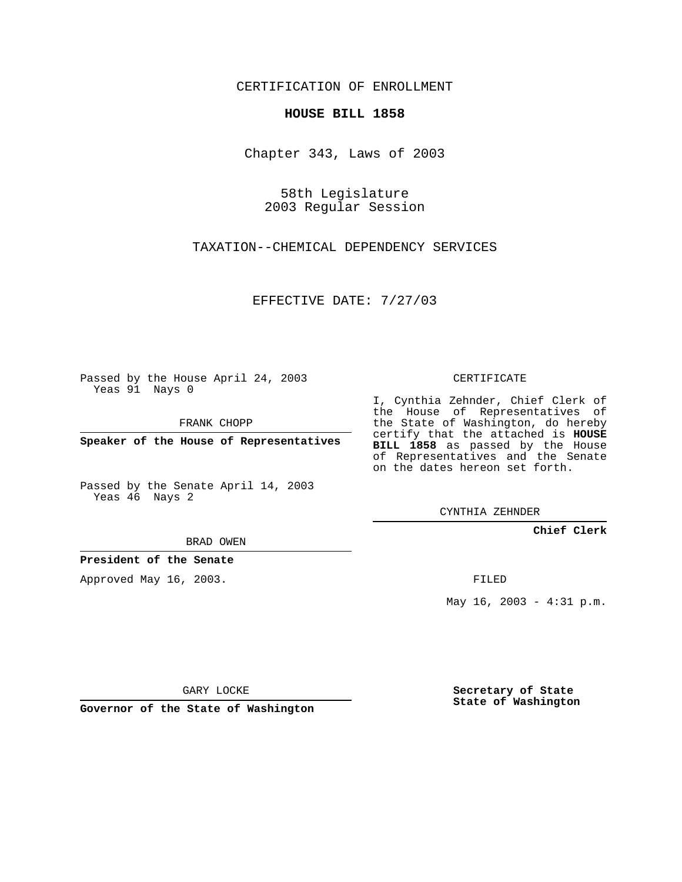CERTIFICATION OF ENROLLMENT

## **HOUSE BILL 1858**

Chapter 343, Laws of 2003

58th Legislature 2003 Regular Session

TAXATION--CHEMICAL DEPENDENCY SERVICES

EFFECTIVE DATE: 7/27/03

Passed by the House April 24, 2003 Yeas 91 Nays 0

FRANK CHOPP

**Speaker of the House of Representatives**

Passed by the Senate April 14, 2003 Yeas 46 Nays 2

BRAD OWEN

**President of the Senate**

Approved May 16, 2003.

CERTIFICATE

I, Cynthia Zehnder, Chief Clerk of the House of Representatives of the State of Washington, do hereby certify that the attached is **HOUSE BILL 1858** as passed by the House of Representatives and the Senate on the dates hereon set forth.

CYNTHIA ZEHNDER

**Chief Clerk**

FILED

May 16, 2003 - 4:31 p.m.

GARY LOCKE

**Governor of the State of Washington**

**Secretary of State State of Washington**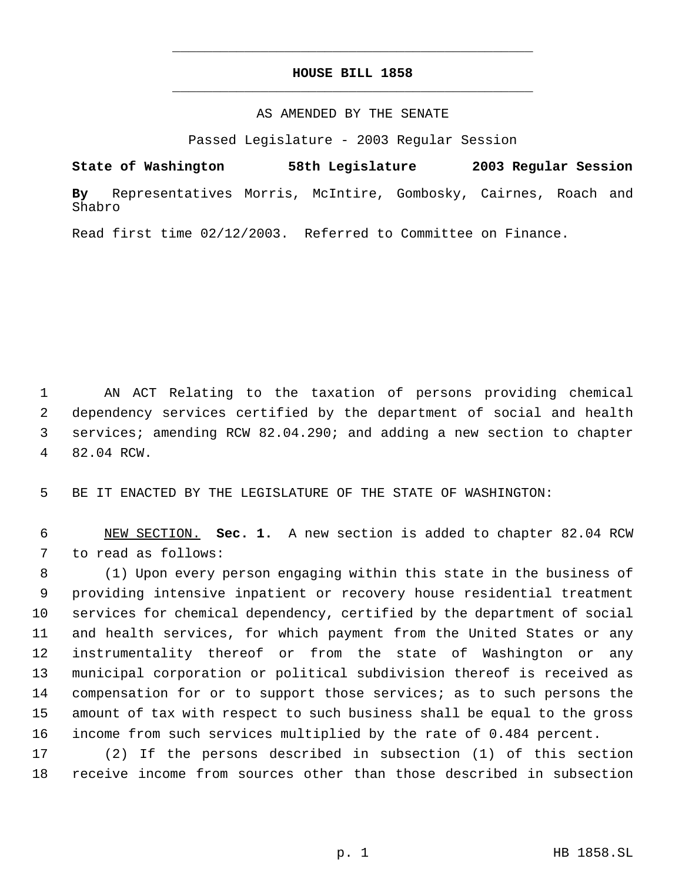## **HOUSE BILL 1858** \_\_\_\_\_\_\_\_\_\_\_\_\_\_\_\_\_\_\_\_\_\_\_\_\_\_\_\_\_\_\_\_\_\_\_\_\_\_\_\_\_\_\_\_\_

\_\_\_\_\_\_\_\_\_\_\_\_\_\_\_\_\_\_\_\_\_\_\_\_\_\_\_\_\_\_\_\_\_\_\_\_\_\_\_\_\_\_\_\_\_

## AS AMENDED BY THE SENATE

Passed Legislature - 2003 Regular Session

**State of Washington 58th Legislature 2003 Regular Session By** Representatives Morris, McIntire, Gombosky, Cairnes, Roach and Shabro

Read first time 02/12/2003. Referred to Committee on Finance.

 AN ACT Relating to the taxation of persons providing chemical dependency services certified by the department of social and health services; amending RCW 82.04.290; and adding a new section to chapter 82.04 RCW.

BE IT ENACTED BY THE LEGISLATURE OF THE STATE OF WASHINGTON:

 NEW SECTION. **Sec. 1.** A new section is added to chapter 82.04 RCW to read as follows:

 (1) Upon every person engaging within this state in the business of providing intensive inpatient or recovery house residential treatment services for chemical dependency, certified by the department of social and health services, for which payment from the United States or any instrumentality thereof or from the state of Washington or any municipal corporation or political subdivision thereof is received as compensation for or to support those services; as to such persons the amount of tax with respect to such business shall be equal to the gross income from such services multiplied by the rate of 0.484 percent.

 (2) If the persons described in subsection (1) of this section receive income from sources other than those described in subsection